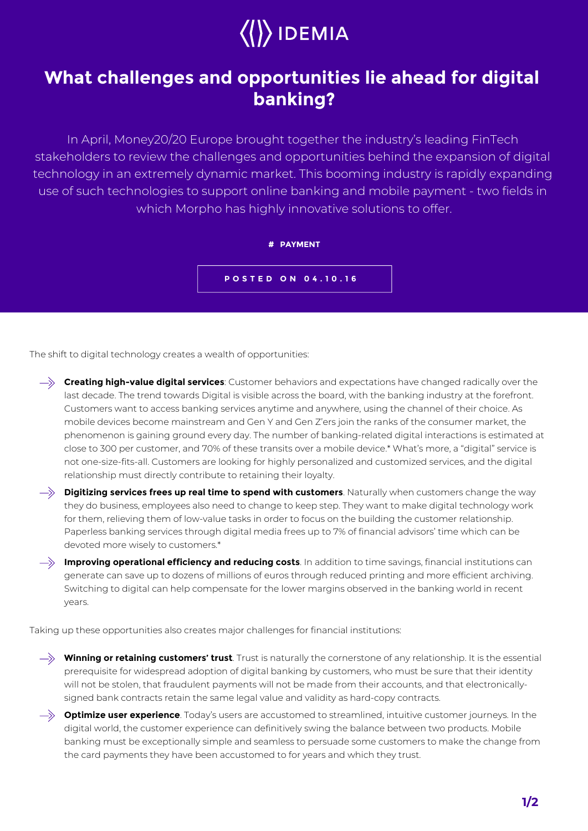## $\langle\langle\rangle\rangle$  IDEMIA

## **What challenges and opportunities lie ahead for digital banking?**

In April, Money20/20 Europe brought together the industry's leading FinTech stakeholders to review the challenges and opportunities behind the expansion of digital technology in an extremely dynamic market. This booming industry is rapidly expanding use of such technologies to support online banking and mobile payment - two fields in which Morpho has highly innovative solutions to offer.



The shift to digital technology creates a wealth of opportunities:



they do business, employees also need to change to keep step. They want to make digital technology work for them, relieving them of low-value tasks in order to focus on the building the customer relationship. Paperless banking services through digital media frees up to 7% of financial advisors' time which can be devoted more wisely to customers.\*

**Improving operational efficiency and reducing costs**. In addition to time savings, financial institutions can generate can save up to dozens of millions of euros through reduced printing and more efficient archiving. Switching to digital can help compensate for the lower margins observed in the banking world in recent years.

Taking up these opportunities also creates major challenges for financial institutions:

 $\rightarrow$  **Winning or retaining customers' trust**. Trust is naturally the cornerstone of any relationship. It is the essential prerequisite for widespread adoption of digital banking by customers, who must be sure that their identity will not be stolen, that fraudulent payments will not be made from their accounts, and that electronicallysigned bank contracts retain the same legal value and validity as hard-copy contracts.

**Optimize user experience**. Today's users are accustomed to streamlined, intuitive customer journeys. In the digital world, the customer experience can definitively swing the balance between two products. Mobile banking must be exceptionally simple and seamless to persuade some customers to make the change from the card payments they have been accustomed to for years and which they trust.